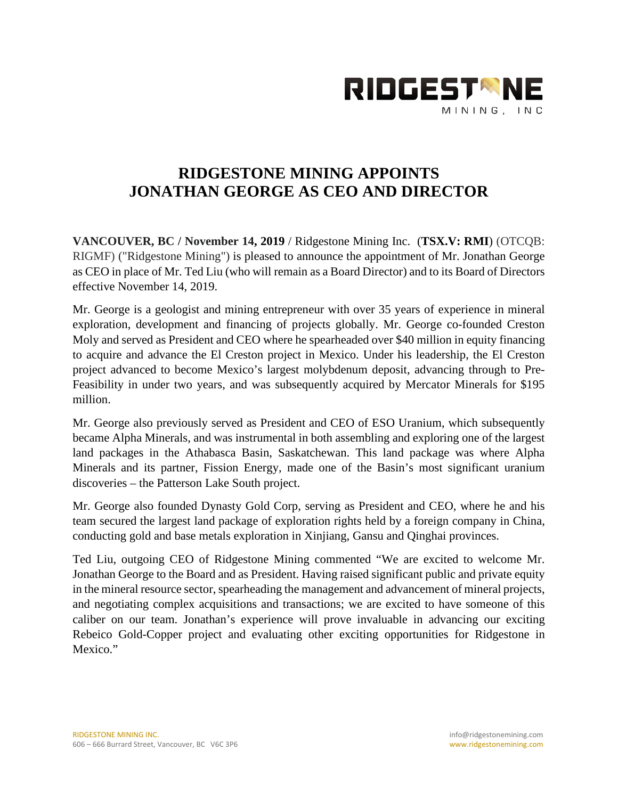

## **RIDGESTONE MINING APPOINTS JONATHAN GEORGE AS CEO AND DIRECTOR**

**VANCOUVER, BC / November 14, 2019** / Ridgestone Mining Inc. (**TSX.V: RMI**) (OTCQB: RIGMF) ("Ridgestone Mining") is pleased to announce the appointment of Mr. Jonathan George as CEO in place of Mr. Ted Liu (who will remain as a Board Director) and to its Board of Directors effective November 14, 2019.

Mr. George is a geologist and mining entrepreneur with over 35 years of experience in mineral exploration, development and financing of projects globally. Mr. George co-founded Creston Moly and served as President and CEO where he spearheaded over \$40 million in equity financing to acquire and advance the El Creston project in Mexico. Under his leadership, the El Creston project advanced to become Mexico's largest molybdenum deposit, advancing through to Pre-Feasibility in under two years, and was subsequently acquired by Mercator Minerals for \$195 million.

Mr. George also previously served as President and CEO of ESO Uranium, which subsequently became Alpha Minerals, and was instrumental in both assembling and exploring one of the largest land packages in the Athabasca Basin, Saskatchewan. This land package was where Alpha Minerals and its partner, Fission Energy, made one of the Basin's most significant uranium discoveries – the Patterson Lake South project.

Mr. George also founded Dynasty Gold Corp, serving as President and CEO, where he and his team secured the largest land package of exploration rights held by a foreign company in China, conducting gold and base metals exploration in Xinjiang, Gansu and Qinghai provinces.

Ted Liu, outgoing CEO of Ridgestone Mining commented "We are excited to welcome Mr. Jonathan George to the Board and as President. Having raised significant public and private equity in the mineral resource sector, spearheading the management and advancement of mineral projects, and negotiating complex acquisitions and transactions; we are excited to have someone of this caliber on our team. Jonathan's experience will prove invaluable in advancing our exciting Rebeico Gold-Copper project and evaluating other exciting opportunities for Ridgestone in Mexico."